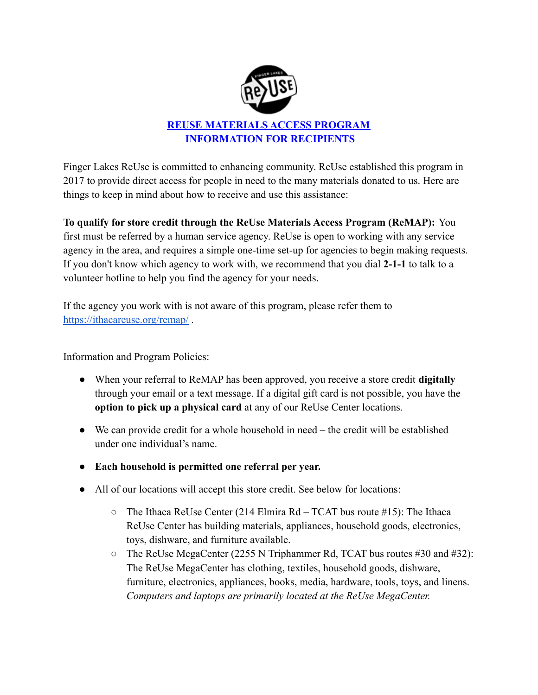

## **REUSE MATERIALS ACCESS PROGRAM INFORMATION FOR RECIPIENTS**

Finger Lakes ReUse is committed to enhancing community. ReUse established this program in 2017 to provide direct access for people in need to the many materials donated to us. Here are things to keep in mind about how to receive and use this assistance:

**To qualify for store credit through the ReUse Materials Access Program (ReMAP):** You first must be referred by a human service agency. ReUse is open to working with any service agency in the area, and requires a simple one-time set-up for agencies to begin making requests. If you don't know which agency to work with, we recommend that you dial **2-1-1** to talk to a volunteer hotline to help you find the agency for your needs.

If the agency you work with is not aware of this program, please refer them to <https://ithacareuse.org/remap/> .

Information and Program Policies:

- When your referral to ReMAP has been approved, you receive a store credit **digitally** through your email or a text message. If a digital gift card is not possible, you have the **option to pick up a physical card** at any of our ReUse Center locations.
- We can provide credit for a whole household in need the credit will be established under one individual's name.
- **Each household is permitted one referral per year.**
- All of our locations will accept this store credit. See below for locations:
	- $\circ$  The Ithaca ReUse Center (214 Elmira Rd TCAT bus route #15): The Ithaca ReUse Center has building materials, appliances, household goods, electronics, toys, dishware, and furniture available.
	- The ReUse MegaCenter (2255 N Triphammer Rd, TCAT bus routes #30 and #32): The ReUse MegaCenter has clothing, textiles, household goods, dishware, furniture, electronics, appliances, books, media, hardware, tools, toys, and linens. *Computers and laptops are primarily located at the ReUse MegaCenter.*